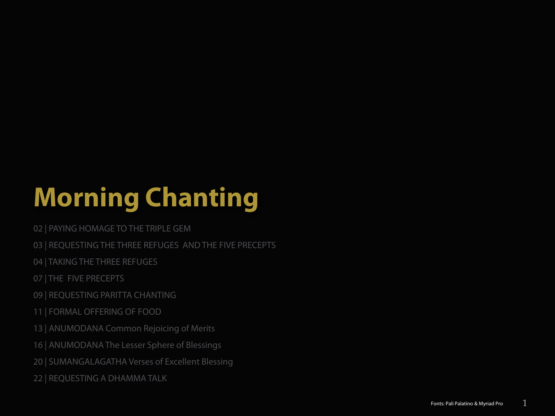# **Morning Chanting**

- 02 | PAYING HOMAGE TO THE TRIPLE GEM
- 03 | REQUESTING THE THREE REFUGES AND THE FIVE PRECEPTS
- 04 | TAKING THE THREE REFUGES
- 07 | THE FIVE PRECEPTS
- 09 | REQUESTING PARITTA CHANTING
- 11 | FORMAL OFFERING OF FOOD
- 13 | ANUMODANA Common Rejoicing of Merits
- 16 | ANUMODANA The Lesser Sphere of Blessings
- 20 | SUMANGALAGATHA Verses of Excellent Blessing
- 22 | REQUESTING A DHAMMA TALK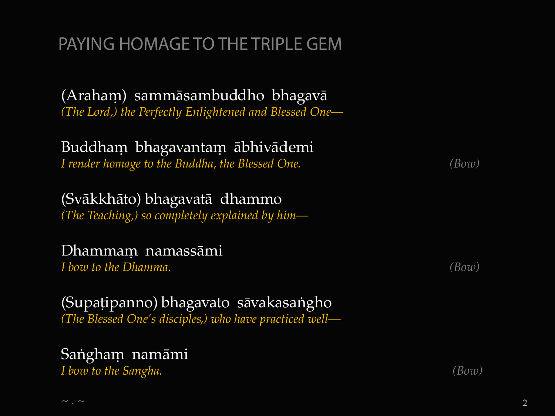# PAYING HOMAGE TO THE TRIPLE GEM

(Araham) sammāsambuddho bhagavā *(The Lord,) the Perfectly Enlightened and Blessed One—*

Buddham bhagavantam ābhivādemi *I render homage to the Buddha, the Blessed One. (Bow)*

(Svàkkhàto) bhagavatà dhammo *(The Teaching,) so completely explained by him—*

#### Dhammam namassāmi

*I bow to the Dhamma. (Bow)*

(Supațipanno) bhagavato sāvakasangho *(The Blessed One's disciples,) who have practiced well—*

# Sangham namāmi

*I bow to the Sangha. (Bow)*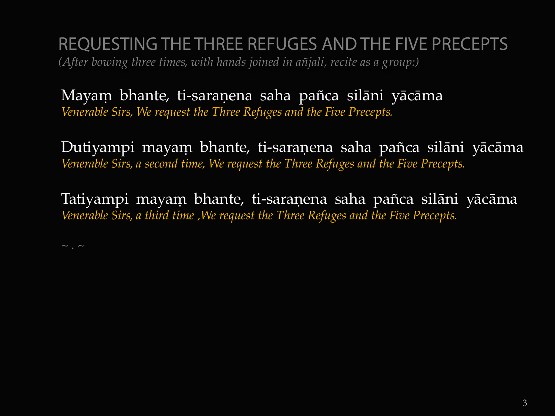REQUESTING THE THREE REFUGES AND THE FIVE PRECEPTS *(After bowing three times, with hands joined in a¤jali, recite as a group:)*

Mayam bhante, ti-saranena saha pañca silāni yācāma *Venerable Sirs, We request the Three Refuges and the Five Precepts.*

Dutiyampi mayam bhante, ti-saranena saha pañca silāni yācāma *Venerable Sirs, a second time, We request the Three Refuges and the Five Precepts.*

Tatiyampi mayaṃ bhante, ti-saraṇena saha pañca silāni yācāma *Venerable Sirs, a third time ,We request the Three Refuges and the Five Precepts.*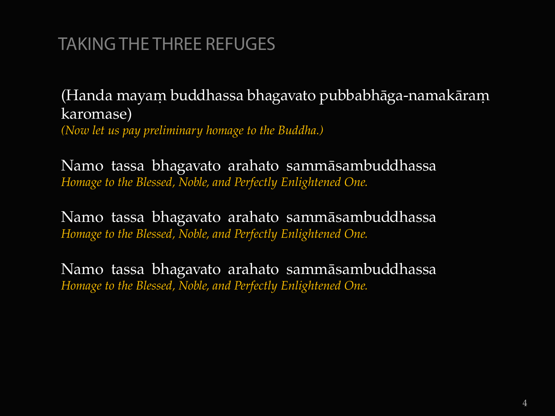# TAKING THE THREE REFUGES

(Handa mayam buddhassa bhagavato pubbabhāga-namakāram karomase) *(Now let us pay preliminary homage to the Buddha.)*

Namo tassa bhagavato arahato sammàsambuddhassa *Homage to the Blessed, Noble, and Perfectly Enlightened One.*

Namo tassa bhagavato arahato sammàsambuddhassa *Homage to the Blessed, Noble, and Perfectly Enlightened One.*

Namo tassa bhagavato arahato sammàsambuddhassa *Homage to the Blessed, Noble, and Perfectly Enlightened One.*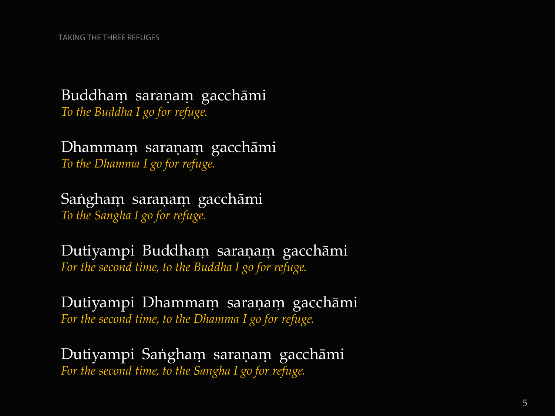#### Buddham saraṇaṃ gacchāmi *To the Buddha I go for refuge.*

Dhammam saraṇaṃ gacchāmi *To the Dhamma I go for refuge.*

Sangham saraṇaṃ gacchāmi *To the Sangha I go for refuge.*

Dutiyampi Buddham saraṇaṃ gacchāmi *For the second time, to the Buddha I go for refuge.* 

Dutiyampi Dhammam saraṇaṃ gacchāmi *For the second time, to the Dhamma I go for refuge.*

Dutiyampi Sangham saraṇaṃ gacchāmi *For the second time, to the Sangha I go for refuge.*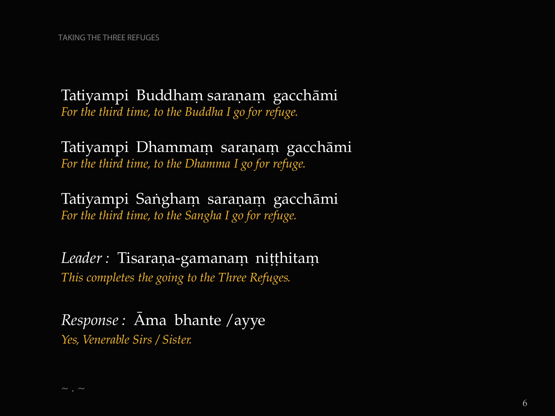Tatiyampi Buddham saranam gacchāmi *For the third time, to the Buddha I go for refuge.*

Tatiyampi Dhammam saraṇaṃ gacchāmi *For the third time, to the Dhamma I go for refuge.*

Tatiyampi Sangham saraṇaṃ gacchāmi *For the third time, to the Sangha I go for refuge.*

Leader : Tisaraṇa-gamanaṃ niṭṭhitaṃ *This completes the going to the Three Refuges.*

*Response :* âma bhante /ayye *Yes, Venerable Sirs / Sister.*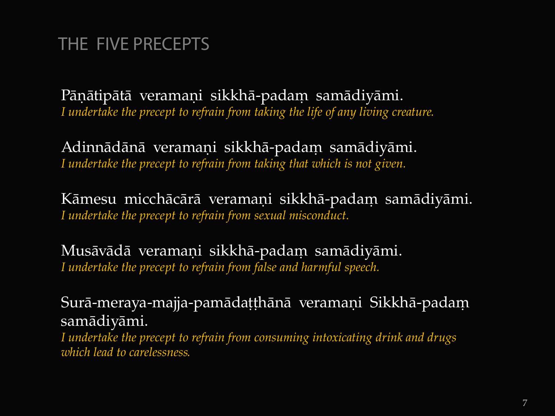# THE FIVE PRECEPTS

Pāņātipātā veramaņi sikkhā-padam samādiyāmi. *I undertake the precept to refrain from taking the life of any living creature.*

Adinnādānā veramaņi sikkhā-padam samādiyāmi. *I undertake the precept to refrain from taking that which is not given.*

Kāmesu micchācārā veramaņi sikkhā-padam samādiyāmi. *I undertake the precept to refrain from sexual misconduct.*

Musāvādā veramaņi sikkhā-padam samādiyāmi. *I undertake the precept to refrain from false and harmful speech.*

Surā-meraya-majja-pamādaṭṭhānā veramaṇi Sikkhā-padaṃ samàdiyàmi.

*I undertake the precept to refrain from consuming intoxicating drink and drugs which lead to carelessness.*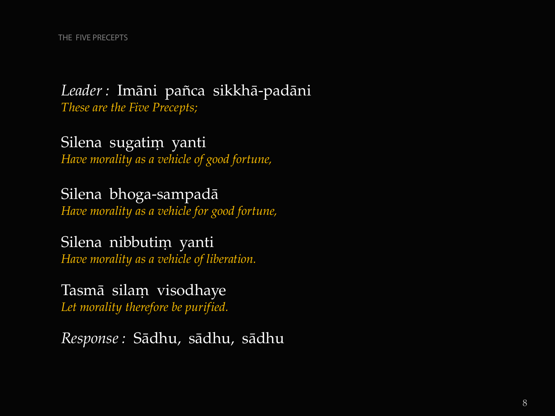#### Leader : Imāni pañca sikkhā-padāni *These are the Five Precepts;*

Silena sugatim yanti *Have morality as a vehicle of good fortune,*

Silena bhoga-sampadà *Have morality as a vehicle for good fortune,*

Silena nibbutim yanti *Have morality as a vehicle of liberation.*

Tasmā silam visodhaye *Let morality therefore be purified.*

*Response :* Sàdhu, sàdhu, sàdhu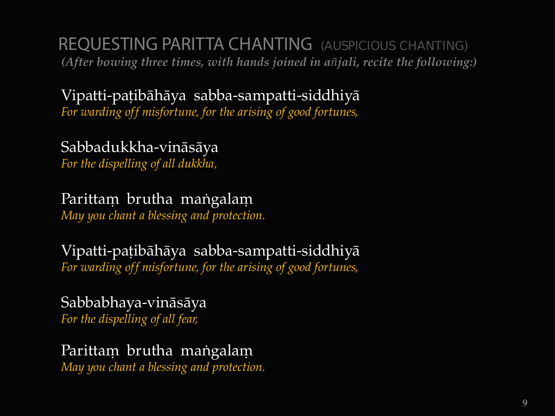REQUESTING PARITTA CHANTING (AUSPICIOUS CHANTING) *(After bowing three times, with hands joined in a¤jali, recite the following:)*

Vipatti-pațibāhāya sabba-sampatti-siddhiyā *For warding off misfortune, for the arising of good fortunes,*

Sabbadukkha-vinàsàya *For the dispelling of all dukkha,*

Parittam brutha mangalam

*May you chant a blessing and protection.*

Vipatti-pațibāhāya sabba-sampatti-siddhiyā *For warding off misfortune, for the arising of good fortunes,*

Sabbabhaya-vinàsàya *For the dispelling of all fear,*

Parittam brutha mangalam *May you chant a blessing and protection.*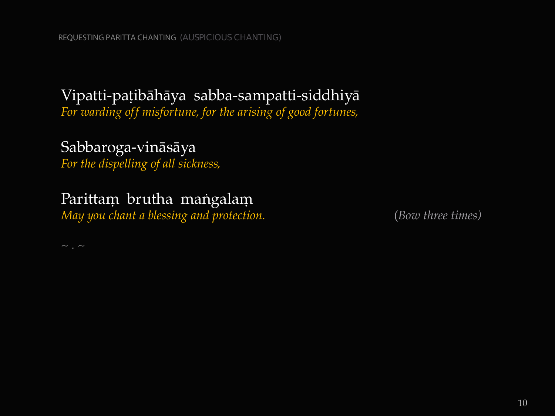#### Vipatti-pațibāhāya sabba-sampatti-siddhiyā

*For warding off misfortune, for the arising of good fortunes,*

#### Sabbaroga-vinàsàya

*For the dispelling of all sickness,*

#### Parittam brutha mangalam

*May you chant a blessing and protection.* (*Bow three times)*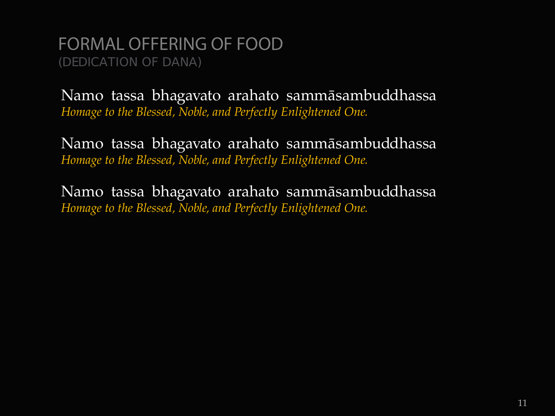FORMAL OFFERING OF FOOD (DEDICATION OF DANA)

Namo tassa bhagavato arahato sammàsambuddhassa *Homage to the Blessed, Noble, and Perfectly Enlightened One.*

Namo tassa bhagavato arahato sammàsambuddhassa *Homage to the Blessed, Noble, and Perfectly Enlightened One.*

Namo tassa bhagavato arahato sammàsambuddhassa *Homage to the Blessed, Noble, and Perfectly Enlightened One.*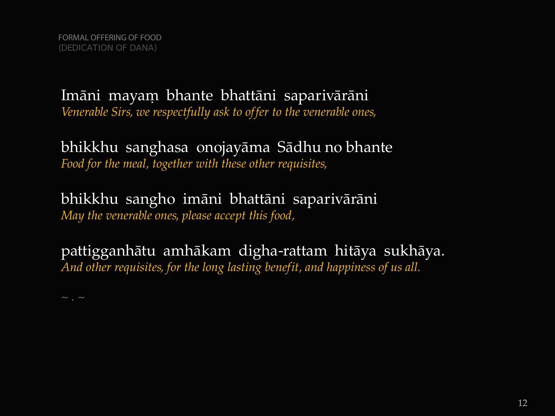Imāni mayam bhante bhattāni saparivārāni *Venerable Sirs, we respectfully ask to offer to the venerable ones,*

bhikkhu sanghasa onojayàma Sàdhu no bhante *Food for the meal, together with these other requisites,*

bhikkhu sangho imàni bhattàni saparivàràni *May the venerable ones, please accept this food,*

pattigganhàtu amhàkam digha-rattam hitàya sukhàya. *And other requisites, for the long lasting benefit, and happiness of us all.*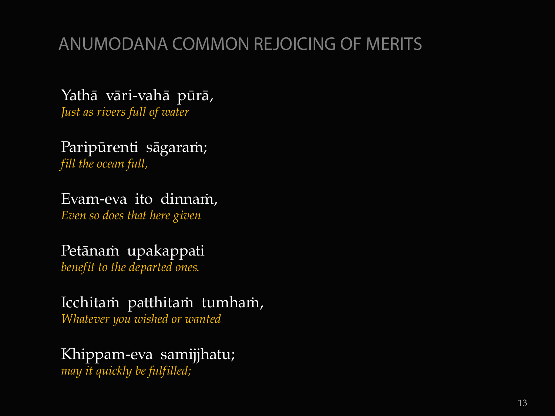# ANUMODANA COMMON REJOICING OF MERITS

Yathà vàri-vahà pårà, *Just as rivers full of water*

Paripūrenti sāgaram; *fill the ocean full,*

Evam-eva ito dinnam,

*Even so does that here given*

#### Petānam upakappati

*benefit to the departed ones.*

Icchitam patthitam tumham, *Whatever you wished or wanted* 

Khippam-eva samijjhatu; *may it quickly be fulfilled;*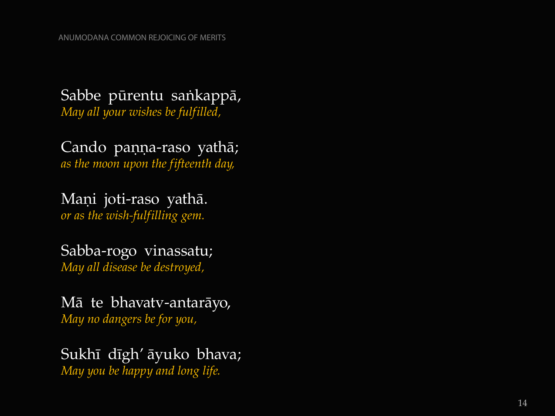Sabbe pūrentu sankappā, *May all your wishes be fulfilled,* 

Cando paṇṇa-raso yathā; *as the moon upon the fifteenth day,*

Maņi joti-raso yathā. *or as the wish -fulfilling gem.*

Sabba -rogo vinassatu; *May all disease be destroyed,*

Mà te bhavatv -antaràyo, *May no dangers be for you,*

Sukhī dīgh' āyuko bhava; *May you be happy and long life.*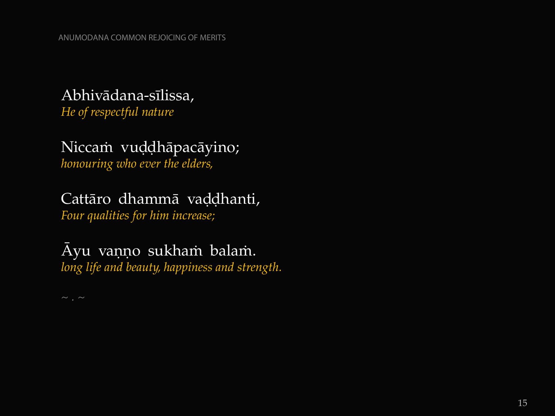#### Abhivàdana-sãlissa,

*He of respectful nature* 

# Niccam vuḍḍhāpacāyino;

*honouring who ever the elders,*

## Cattāro dhammā vaḍḍhanti,

*Four qualities for him increase;*

#### Āyu vaņņo sukham balam. *long life and beauty, happiness and strength.*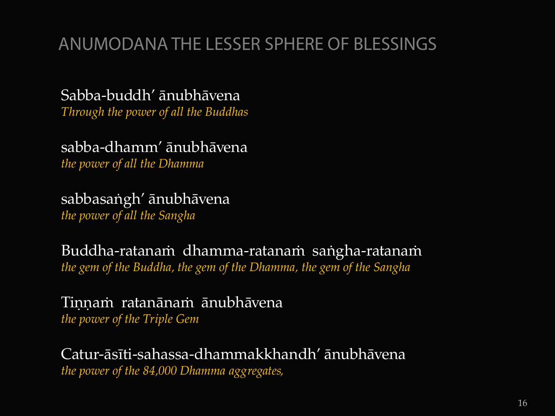# ANUMODANA THE LESSER SPHERE OF BLESSINGS

Sabba-buddh' ànubhàvena *Through the power of all the Buddhas*

sabba-dhamm' ànubhàvena *the power of all the Dhamma*

sabbasaṅgh' ānubhāvena *the power of all the Sangha*

Buddha-ratanaṁ dhamma-ratanaṁ saṅgha-ratanaṁ *the gem of the Buddha, the gem of the Dhamma, the gem of the Sangha*

Tinnam ratanānam ānubhāvena *the power of the Triple Gem*

Catur-àsãti-sahassa-dhammakkhandh' ànubhàvena *the power of the 84,000 Dhamma aggregates,*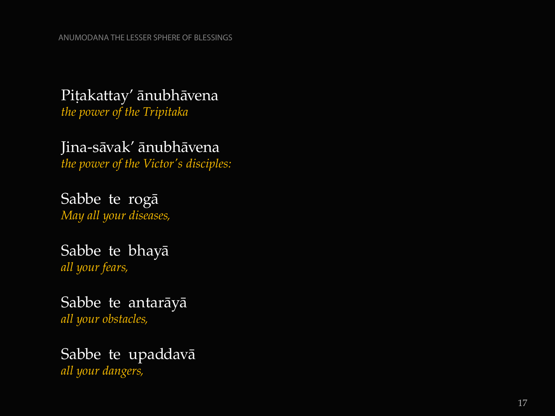## Pițakattay' ānubhāvena

*the power of the Tripitaka*

Jina -sàvak' ànubhàvena *the power of the Victor's disciples:*

Sabbe te rogà *May all your diseases,*

Sabbe te bhayà *all your fears,*

Sabbe te antaràyà *all your obstacles,*

#### Sabbe te upaddavà *all your dangers,*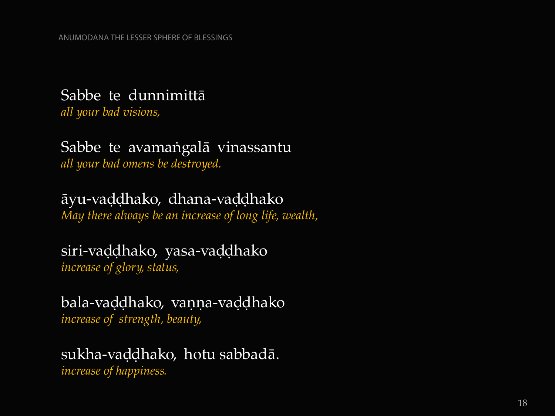#### Sabbe te dunnimittà

*all your bad visions,*

#### Sabbe te avamangalā vinassantu *all your bad omens be destroyed.*

āyu-vaḍḍhako, dhana-vaḍḍhako

*May there always be an increase of long life, wealth,*

#### siri-vaddhako, yasa-vaddhako *increase of glory, status,*

bala-vaddhako, vanna-vaddhako *increase of strength, beauty,* 

# sukha-vaḍḍhako, hotu sabbadā.

*increase of happiness.*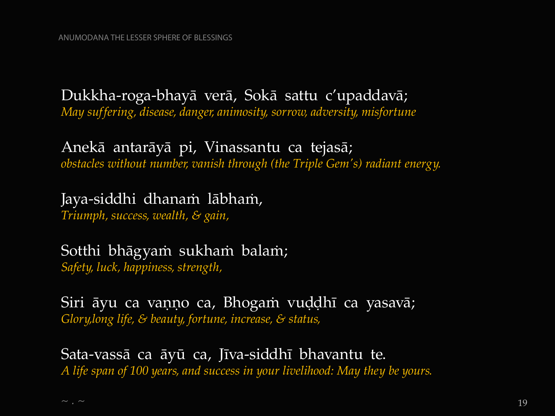#### Dukkha-roga-bhayà verà, Sokà sattu c'upaddavà;

*May suffering, disease, danger, animosity, sorrow, adversity, misfortune*

#### Anekà antaràyà pi, Vinassantu ca tejasà; *obstacles without number, vanish through (the Triple Gem's) radiant energy.*

## Jaya-siddhi dhanaṁ lābhaṁ,

*Triumph, success, wealth, & gain,*

#### Sotthi bhāgyaṁ sukhaṁ balaṁ; *Safety, luck, happiness, strength,*

Siri āyu ca vaņņo ca, Bhogam vuḍḍhī ca yasavā; *Glory,long life, & beauty, fortune, increase, & status,*

Sata-vassā ca āyū ca, Jīva-siddhī bhavantu te. *A life span of 100 years, and success in your livelihood: May they be yours.*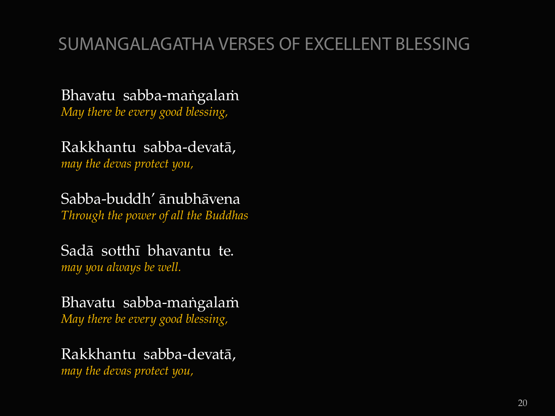# SUMANGALAGATHA VERSES OF EXCELLENT BLESSING

Bhavatu sabba-mangalam

*May there be every good blessing,*

Rakkhantu sabba-devatà,

*may the devas protect you,*

Sabba-buddh' ànubhàvena

*Through the power of all the Buddhas*

Sadà sotthã bhavantu te. *may you always be well.*

Bhavatu sabba-mangalam *May there be every good blessing,*

Rakkhantu sabba-devatà,

*may the devas protect you,*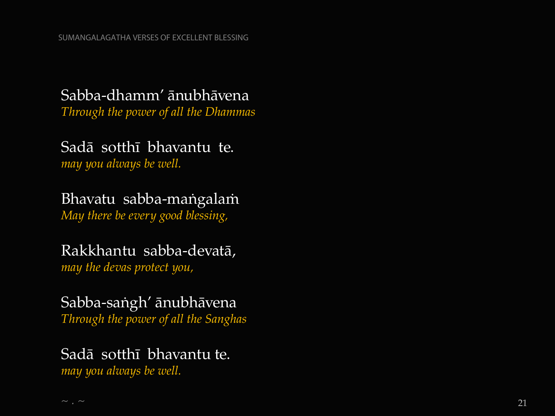#### Sabba -dhamm' ànubhàvena

*Through the power of all the Dhammas*

#### Sadà sotthã bhavantu te. *may you always be well.*

#### Bhavatu sabba-maṅgalaṁ *May there be every good blessing,*

#### Rakkhantu sabba -devatà,

*may the devas protect you,*

#### Sabba -saïgh' ànubhàvena *Through the power of all the Sanghas*

#### Sadà sotthã bhavantu te.

*may you always be well.*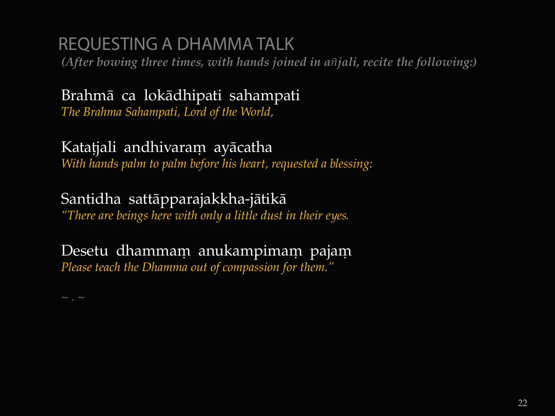# REQUESTING A DHAMMA TALK

*(After bowing three times, with hands joined in a¤jali, recite the following:)*

#### Brahmà ca lokàdhipati sahampati *The Brahma Sahampati, Lord of the World,*

#### Katațjali andhivaram ayācatha *With hands palm to palm before his heart, requested a blessing:*

#### Santidha sattàpparajakkha-jàtikà

*"There are beings here with only a little dust in their eyes.*

#### Desetu dhammam anukampimam pajam *Please teach the Dhamma out of compassion for them."*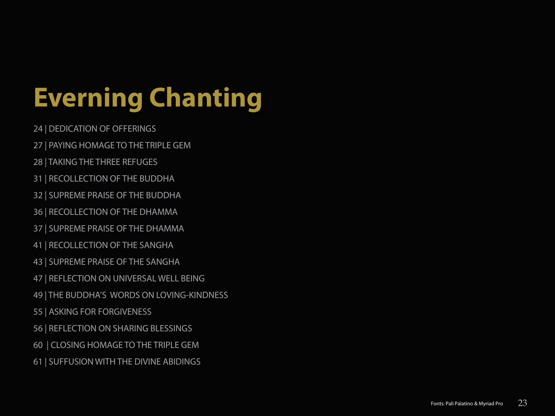# **Everning Chanting**

- 24 | DEDICATION OF OFFERINGS
- 27 | PAYING HOMAGE TO THE TRIPLE GEM
- 28 | TAKING THE THREE REFUGES
- 31 | RECOLLECTION OF THE BUDDHA
- 32 | SUPREME PRAISE OF THE BUDDHA
- 36 | RECOLLECTION OF THE DHAMMA
- 37 | SUPREME PRAISE OF THE DHAMMA
- 41 | RECOLLECTION OF THE SANGHA
- 43 | SUPREME PRAISE OF THE SANGHA
- 47 | REFLECTION ON UNIVERSAL WELL BEING
- 49 | THE BUDDHA'S WORDS ON LOVING-KINDNESS
- 55 | ASKING FOR FORGIVENESS
- 56 | REFLECTION ON SHARING BLESSINGS
- 60 | CLOSING HOMAGE TO THE TRIPLE GEM
- 61 | SUFFUSION WITH THE DIVINE ABIDINGS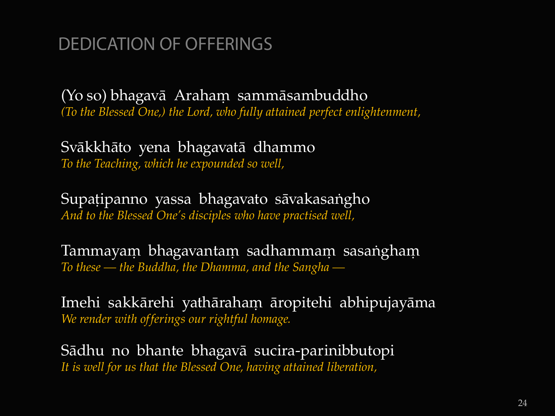# DEDICATION OF OFFERINGS

(Yo so) bhagavā Araham sammāsambuddho *(To the Blessed One,) the Lord, who fully attained perfect enlightenment,* 

Svàkkhàto yena bhagavatà dhammo *To the Teaching, which he expounded so well,*

Supațipanno yassa bhagavato sāvakasangho *And to the Blessed One's disciples who have practised well,* 

Tammayam bhagavantam sadhammam sasangham *To these — the Buddha, the Dhamma, and the Sangha —*

Imehi sakkārehi yathāraham āropitehi abhipujayāma *We render with offerings our rightful homage.*

Sàdhu no bhante bhagavà sucira-parinibbutopi *It is well for us that the Blessed One, having attained liberation,*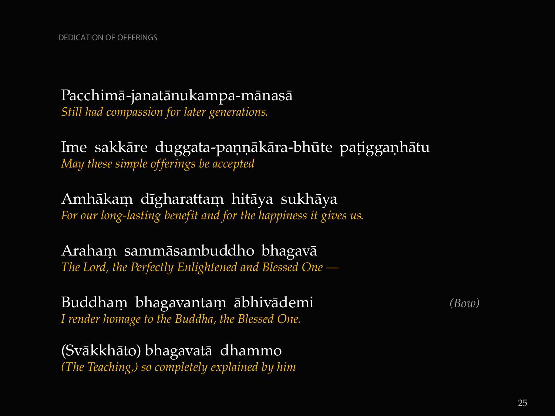#### Pacchimà-janatànukampa-mànasà

*Still had compassion for later generations.*

Ime sakkāre duggata-paņņākāra-bhūte pațiggaņhātu *May these simple offerings be accepted*

Amhākam dīgharattam hitāya sukhāya *For our long-lasting benefit and for the happiness it gives us.*

Araham sammāsambuddho bhagavā *The Lord, the Perfectly Enlightened and Blessed One —*

Buddham bhagavantam ābhivādemi *(Bow) I render homage to the Buddha, the Blessed One.*

(Svàkkhàto) bhagavatà dhammo *(The Teaching,) so completely explained by him*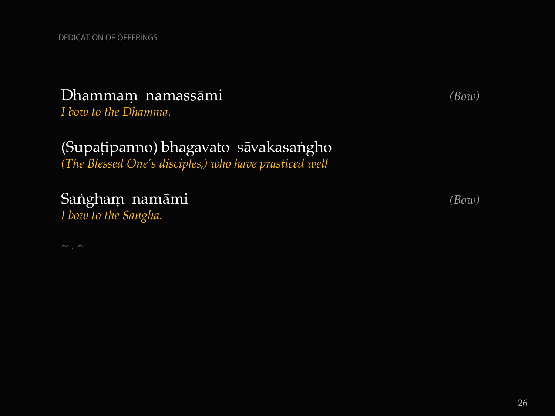#### Dhammaü namassàmi *(Bow)*

*I bow to the Dhamma.*

# (Supațipanno) bhagavato sāvakasangho

*(The Blessed One's disciples,) who have prasticed well*

#### Sangham namāmi *(Bow)*

*I bow to the Sangha.*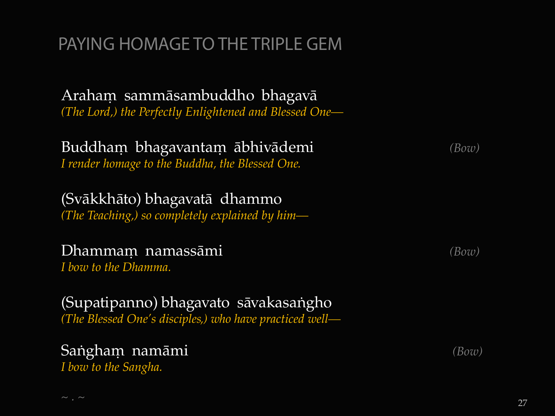# PAYING HOMAGE TO THE TRIPLE GEM

Araham sammāsambuddho bhagavā *(The Lord,) the Perfectly Enlightened and Blessed One—*

#### Buddham bhagavantam ābhivādemi *(Bow) I render homage to the Buddha, the Blessed One.*

(Svàkkhàto) bhagavatà dhammo *(The Teaching,) so completely explained by him—*

#### **Dhammam namassāmi** *(Bow)*

*I bow to the Dhamma.*

(Supatipanno) bhagavato sāvakasangho *(The Blessed One's disciples,) who have practiced well—*

# Sangham namāmi *(Bow)*

*I bow to the Sangha.*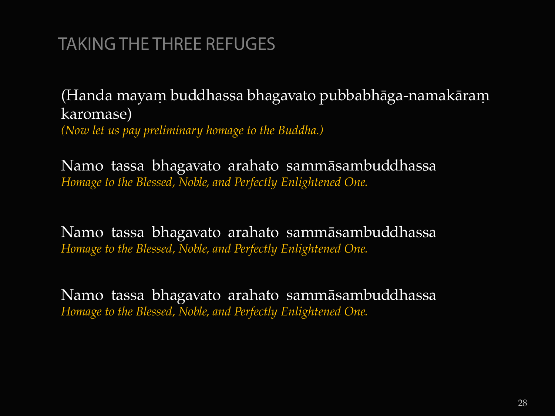# TAKING THE THREE REFUGES

(Handa mayam buddhassa bhagavato pubbabhāga-namakāram karomase) *(Now let us pay preliminary homage to the Buddha.)*

Namo tassa bhagavato arahato sammàsambuddhassa *Homage to the Blessed, Noble, and Perfectly Enlightened One.*

Namo tassa bhagavato arahato sammàsambuddhassa *Homage to the Blessed, Noble, and Perfectly Enlightened One.*

Namo tassa bhagavato arahato sammàsambuddhassa *Homage to the Blessed, Noble, and Perfectly Enlightened One.*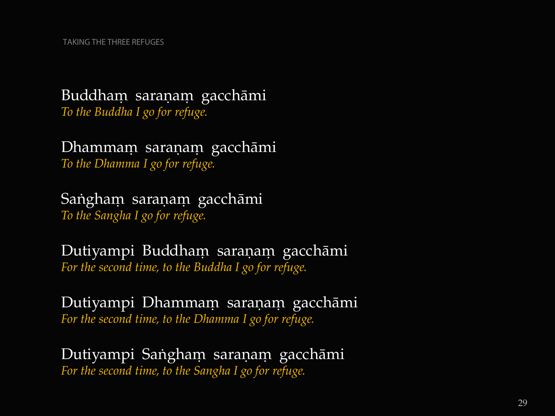#### Buddham saraṇaṃ gacchāmi *To the Buddha I go for refuge.*

Dhammam saraṇaṃ gacchāmi *To the Dhamma I go for refuge.*

Sangham saraṇaṃ gacchāmi *To the Sangha I go for refuge.*

Dutiyampi Buddham saraṇaṃ gacchāmi *For the second time, to the Buddha I go for refuge.* 

Dutiyampi Dhammam saraṇaṃ gacchāmi *For the second time, to the Dhamma I go for refuge.*

Dutiyampi Sangham saraṇaṃ gacchāmi *For the second time, to the Sangha I go for refuge.*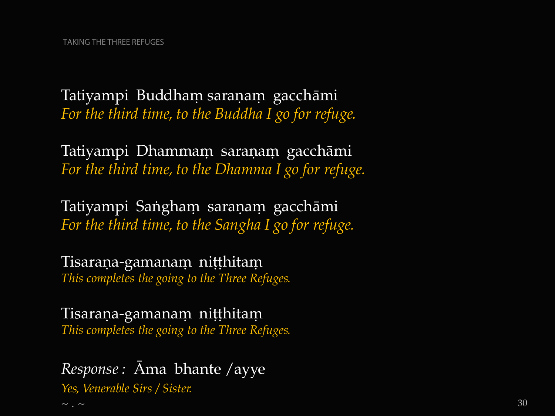Tatiyampi Buddham saraṇaṃ gacchāmi *For the third time, to the Buddha I go for refuge.*

Tatiyampi Dhammam saraṇaṃ gacchāmi *For the third time, to the Dhamma I go for refuge.*

Tatiyampi Sangham saraṇaṃ gacchāmi *For the third time, to the Sangha I go for refuge.*

Tisaraṇa-gamanaṃ niṭṭhitaṃ *This completes the going to the Three Refuges.*

Tisaraṇa-gamanaṃ niṭṭhitaṃ *This completes the going to the Three Refuges.*

*Response :* âma bhante /ayye *Yes, Venerable Sirs / Sister.*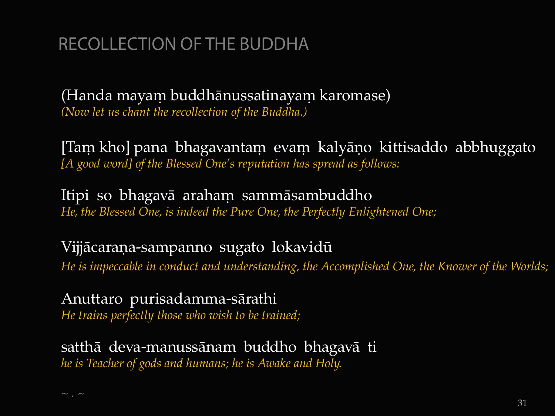# RECOLLECTION OF THE BUDDHA

(Handa mayam buddhānussatinayam karomase) *(Now let us chant the recollection of the Buddha.)*

[Tam kho] pana bhagavantam evam kalyāņo kittisaddo abbhuggato *[A good word] of the Blessed One's reputation has spread as follows:* 

Itipi so bhagavā araham sammāsambuddho *He, the Blessed One, is indeed the Pure One, the Perfectly Enlightened One;* 

Vijjācaraņa-sampanno sugato lokavidū *He is impeccable in conduct and understanding, the Accomplished One, the Knower of the Worlds;*

Anuttaro purisadamma-sàrathi *He trains perfectly those who wish to be trained;* 

satthà deva-manussànam buddho bhagavà ti *he is Teacher of gods and humans; he is Awake and Holy.*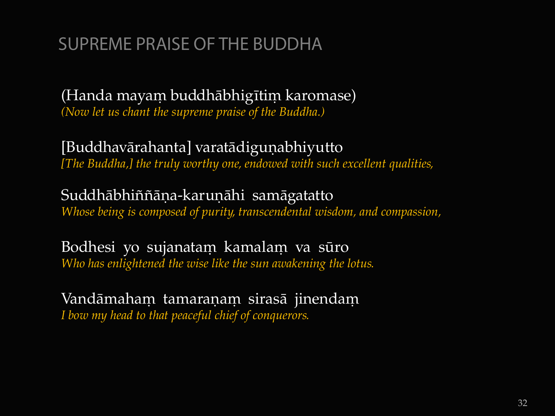# SUPREME PRAISE OF THE BUDDHA

(Handa mayam buddhābhigītim karomase) *(Now let us chant the supreme praise of the Buddha.)*

[Buddhavārahanta] varatādiguņabhiyutto *[The Buddha,] the truly worthy one, endowed with such excellent qualities,*

Suddhābhiññāṇa-karuṇāhi samāgatatto *Whose being is composed of purity, transcendental wisdom, and compassion,*

Bodhesi yo sujanatam kamalam va sūro *Who has enlightened the wise like the sun awakening the lotus.*

Vandāmaham tamaraņam sirasā jinendam *I bow my head to that peaceful chief of conquerors.*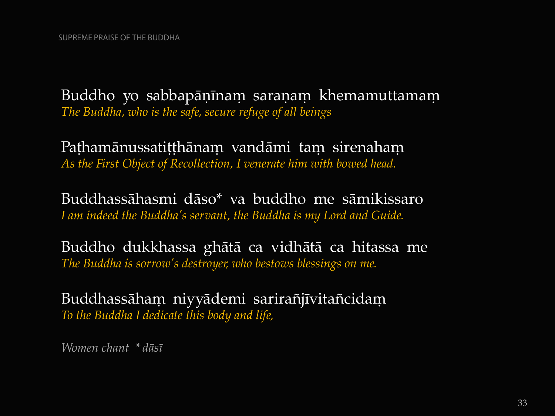Buddho yo sabbapāṇīnaṃ saraṇaṃ khemamuttamaṃ *The Buddha, who is the safe, secure refuge of all beings*

Paṭhamānussatiṭṭhānaṃ vandāmi taṃ sirenahaṃ *As the First Object of Recollection, I venerate him with bowed head.*

Buddhassàhasmi dàso\* va buddho me sàmikissaro *I am indeed the Buddha's servant, the Buddha is my Lord and Guide.*

Buddho dukkhassa ghàtà ca vidhàtà ca hitassa me *The Buddha is sorrow's destroyer, who bestows blessings on me.*

Buddhassāham niyyādemi sarirañjīvitañcidam *To the Buddha I dedicate this body and life,*

*Women chant \* dàsã*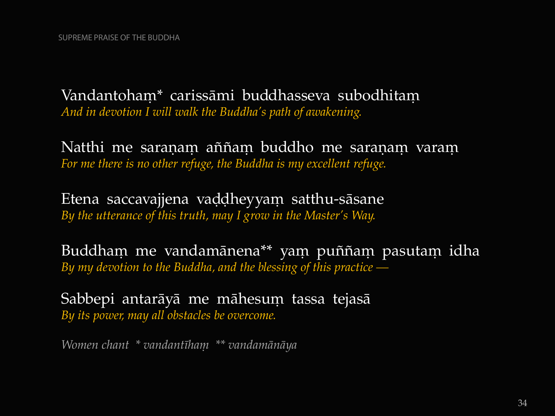Vandantoham\* carissāmi buddhasseva subodhitam *And in devotion I will walk the Buddha's path of awakening.*

Natthi me saranam aññam buddho me saranam varam *For me there is no other refuge, the Buddha is my excellent refuge.*

Etena saccavajjena vaḍḍheyyam satthu-sāsane *By the utterance of this truth, may I grow in the Master's Way.*

Buddham me vandamānena\*\* yam puññam pasutam idha *By my devotion to the Buddha, and the blessing of this practice —*

Sabbepi antarāyā me māhesum tassa tejasā *By its power, may all obstacles be overcome.*

*Women chant \* vandantãhaü \*\* vandamànàya*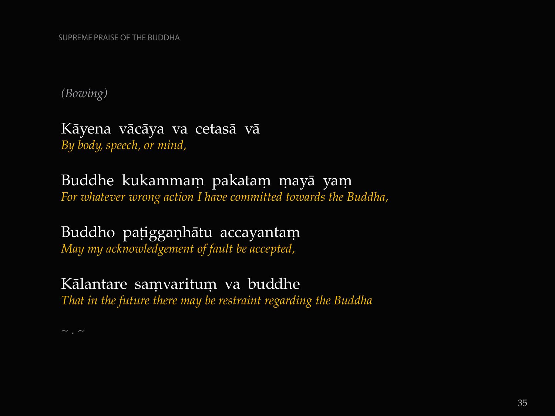SUPREME PRAISE OF THE BUDDHA

*(Bowing)*

Kàyena vàcàya va cetasà và *By body, speech, or mind,*

Buddhe kukammam pakatam mayā yam *For whatever wrong action I have committed towards the Buddha,*

Buddho pațigganhātu accayantam *May my acknowledgement of fault be accepted,*

Kālantare samvaritum va buddhe *That in the future there may be restraint regarding the Buddha*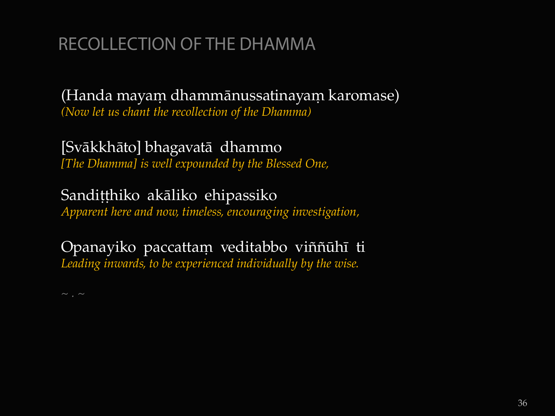# RECOLLECTION OF THE DHAMMA

(Handa mayam dhammānussatinayam karomase) *(Now let us chant the recollection of the Dhamma)* 

[Svàkkhàto] bhagavatà dhammo *[The Dhamma] is well expounded by the Blessed One,*

Sandițțhiko akāliko ehipassiko *Apparent here and now, timeless, encouraging investigation,* 

Opanayiko paccattam veditabbo viññūhī ti *Leading inwards, to be experienced individually by the wise.*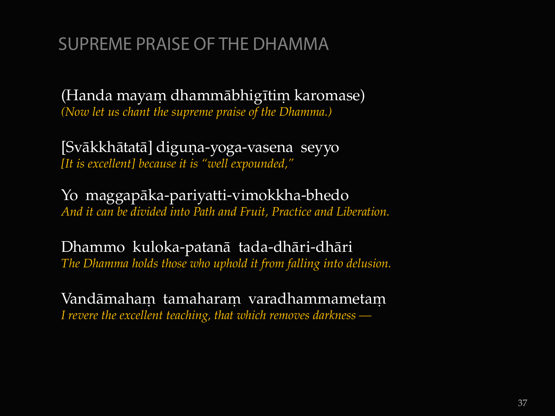# SUPREME PRAISE OF THE DHAMMA

(Handa mayam dhammābhigītim karomase) *(Now let us chant the supreme praise of the Dhamma.)* 

[Svākkhātatā] diguņa-yoga-vasena seyyo *[It is excellent] because it is "well expounded,"*

Yo maggapàka-pariyatti-vimokkha-bhedo *And it can be divided into Path and Fruit, Practice and Liberation.* 

Dhammo kuloka-patanà tada-dhàri-dhàri *The Dhamma holds those who uphold it from falling into delusion.* 

Vandāmaham tamaharam varadhammametam *I revere the excellent teaching, that which removes darkness —*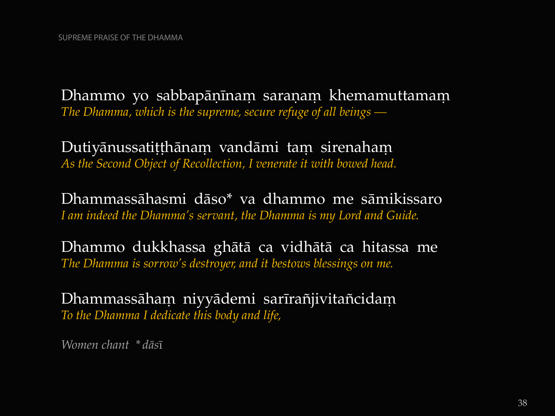Dhammo yo sabbapāṇīnaṃ saraṇaṃ khemamuttamaṃ *The Dhamma, which is the supreme, secure refuge of all beings —*

Dutiyānussatitthānam vandāmi tam sirenaham *As the Second Object of Recollection, I venerate it with bowed head.*

Dhammassàhasmi dàso\* va dhammo me sàmikissaro *I am indeed the Dhamma's servant, the Dhamma is my Lord and Guide.*

Dhammo dukkhassa ghàtà ca vidhàtà ca hitassa me *The Dhamma is sorrow's destroyer, and it bestows blessings on me.*

Dhammassāham niyyādemi sarīrañjivitañcidam *To the Dhamma I dedicate this body and life,*

*Women chant \* dàs*ã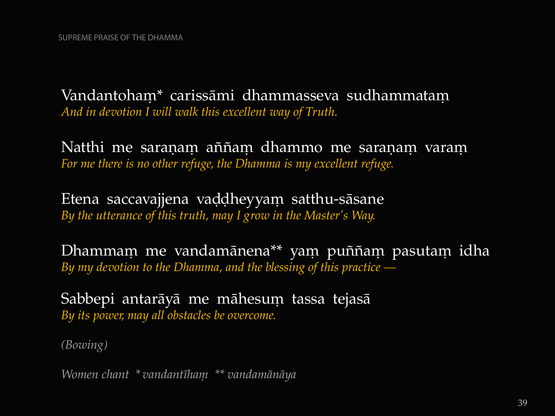Vandantoham\* carissāmi dhammasseva sudhammatam *And in devotion I will walk this excellent way of Truth.*

Natthi me saraṇaṃ aññaṃ dhammo me saraṇaṃ varaṃ *For me there is no other refuge, the Dhamma is my excellent refuge.* 

Etena saccavajjena vaḍḍheyyam satthu-sāsane *By the utterance of this truth, may I grow in the Master's Way.*

Dhammam me vandamānena<sup>\*\*</sup> yam puññam pasutam idha *By my devotion to the Dhamma, and the blessing of this practice —*

Sabbepi antarāyā me māhesum tassa tejasā *By its power, may all obstacles be overcome.*

*(Bowing)*

*Women chant \* vandantãhaü \*\* vandamànàya*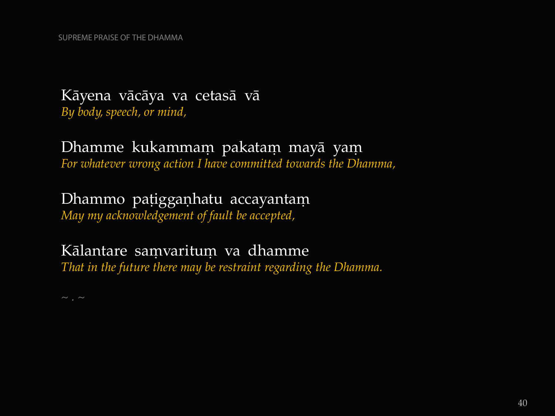#### Kàyena vàcàya va cetasà và *By body, speech, or mind,*

#### Dhamme kukammam pakatam mayā yam *For whatever wrong action I have committed towards the Dhamma,*

# Dhammo pațigganhatu accayantam

*May my acknowledgement of fault be accepted,*

## Kālantare samvaritum va dhamme

*That in the future there may be restraint regarding the Dhamma.*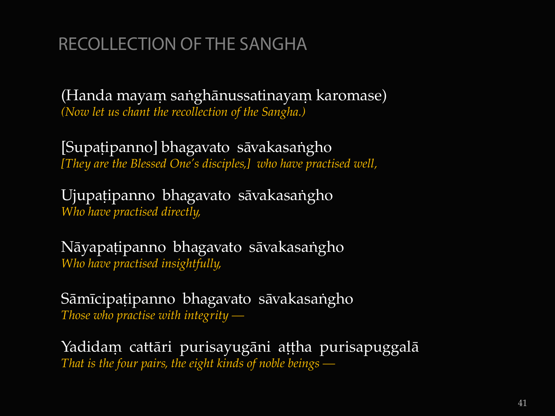# RECOLLECTION OF THE SANGHA

(Handa mayam sanghānussatinayam karomase) *(Now let us chant the recollection of the Sangha.)*

[Supaṭipanno] bhagavato sāvakasaṅgho *[They are the Blessed One's disciples,] who have practised well,*

Ujupatipanno bhagavato sāvakasangho *Who have practised directly,*

Nāyapaṭipanno bhagavato sāvakasaṅgho *Who have practised insightfully,*

Sāmīcipațipanno bhagavato sāvakasangho *Those who practise with integrity —*

Yadidam cattāri purisayugāni aṭṭha purisapuggalā *That is the four pairs, the eight kinds of noble beings —*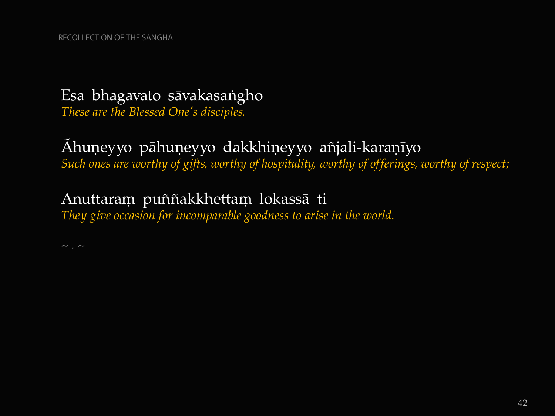## Esa bhagavato sāvakasangho

*These are the Blessed One's disciples.*

#### Áhuņeyyo pāhuņeyyo dakkhiņeyyo añjali-karaņīyo *Such ones are worthy of gifts, worthy of hospitality, worthy of offerings, worthy of respect;*

## Anuttaram puññakkhettam lokassā ti

*They give occasion for incomparable goodness to arise in the world.*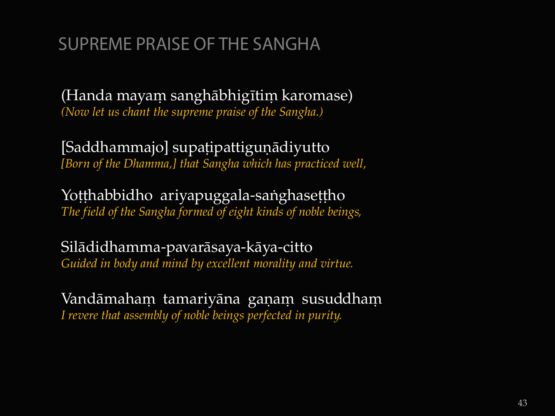# SUPREME PRAISE OF THE SANGHA

(Handa mayam sanghābhigītim karomase) *(Now let us chant the supreme praise of the Sangha.)*

[Saddhammajo] supațipattiguņādiyutto *[Born of the Dhamma,] that Sangha which has practiced well,*

Yotthabbidho ariyapuggala-sanghasettho *The field of the Sangha formed of eight kinds of noble beings,*

Silàdidhamma-pavaràsaya-kàya-citto *Guided in body and mind by excellent morality and virtue.*

Vandāmaham tamariyāna gaņam susuddham *I revere that assembly of noble beings perfected in purity.*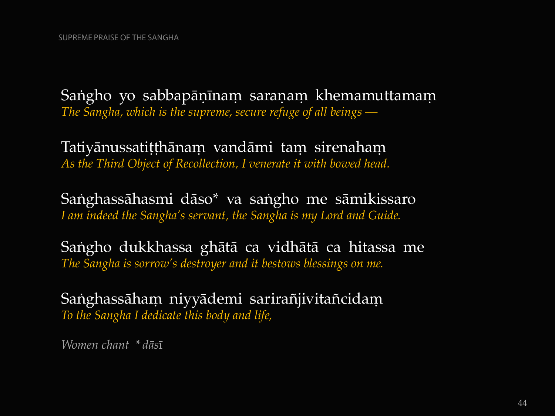Sangho yo sabbapāṇīnaṃ saraṇaṃ khemamuttamaṃ *The Sangha, which is the supreme, secure refuge of all beings —*

Tatiyānussatitthānam vandāmi tam sirenaham *As the Third Object of Recollection, I venerate it with bowed head.* 

Sanghassāhasmi dāso\* va sangho me sāmikissaro *I am indeed the Sangha's servant, the Sangha is my Lord and Guide.* 

Sangho dukkhassa ghātā ca vidhātā ca hitassa me *The Sangha is sorrow's destroyer and it bestows blessings on me.* 

Sanghassāham niyyādemi sarirañjivitañcidam *To the Sangha I dedicate this body and life,*

*Women chant \* dàs*ã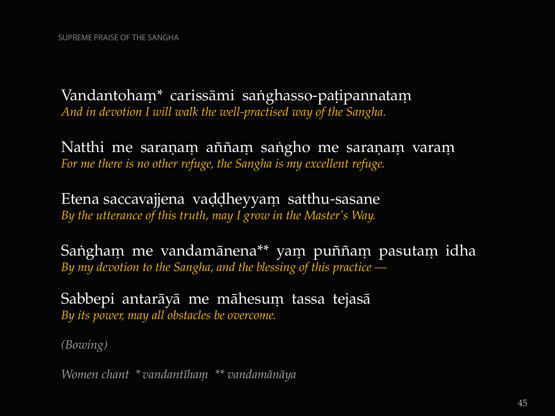Vandantoham<sup>\*</sup> carissāmi saṅghasso-paṭipannataṃ *And in devotion I will walk the well-practised way of the Sangha.* 

Natthi me saraṇaṃ aññaṃ saṅgho me saraṇaṃ varaṃ *For me there is no other refuge, the Sangha is my excellent refuge.* 

Etena saccavajjena vaddheyyam satthu-sasane *By the utterance of this truth, may I grow in the Master's Way.*

Sangham me vandamānena<sup>\*\*</sup> yam puññam pasutam idha *By my devotion to the Sangha, and the blessing of this practice —*

Sabbepi antarāyā me māhesum tassa tejasā *By its power, may all obstacles be overcome.*

*(Bowing)*

*Women chant \* vandantãhaü \*\* vandamànàya*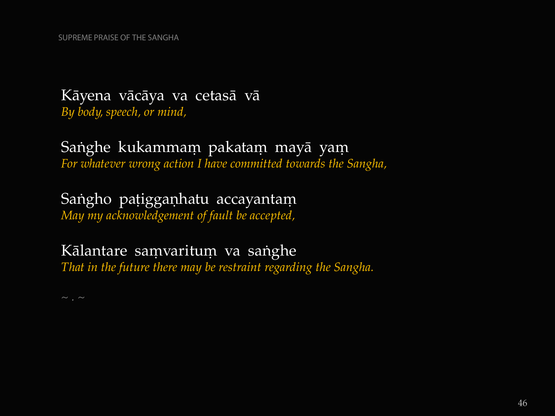#### Kàyena vàcàya va cetasà và *By body, speech, or mind,*

#### Sanghe kukammam pakatam mayā yam *For whatever wrong action I have committed towards the Sangha,*

#### Sangho pațigganhatu accayantam

*May my acknowledgement of fault be accepted,*

#### Kālantare samvaritum va sanghe

*That in the future there may be restraint regarding the Sangha.*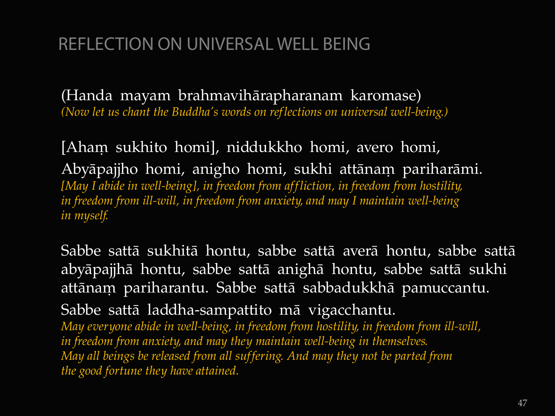# REFLECTION ON UNIVERSAL WELL BEING

(Handa mayam brahmavihàrapharanam karomase) *(Now let us chant the Buddha's words on ref lections on universal well-being.)*

[Aham sukhito homi], niddukkho homi, avero homi, Abyāpajjho homi, anigho homi, sukhi attānam pariharāmi. *[May I abide in well-being], in freedom from aff liction, in freedom from hostility, in freedom from ill-will, in freedom from anxiety, and may I maintain well-being in myself.* 

Sabbe sattà sukhità hontu, sabbe sattà averà hontu, sabbe sattà abyàpajjhà hontu, sabbe sattà anighà hontu, sabbe sattà sukhi attānam pariharantu. Sabbe sattā sabbadukkhā pamuccantu.

Sabbe sattà laddha-sampattito mà vigacchantu.

*May everyone abide in well-being, in freedom from hostility, in freedom from ill-will, in freedom from anxiety, and may they maintain well-being in themselves. May all beings be released from all suffering. And may they not be parted from the good fortune they have attained.*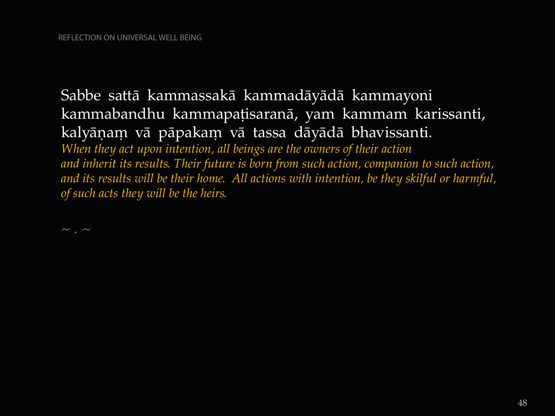Sabbe sattà kammassakà kammadàyàdà kammayoni kammabandhu kammapatisaranā, yam kammam karissanti, kalyāņam vā pāpakam vā tassa dāyādā bhavissanti. *When they act upon intention, all beings are the owners of their action and inherit its results. Their future is born from such action, companion to such action, and its results will be their home. All actions with intention, be they skilful or harmful, of such acts they will be the heirs.*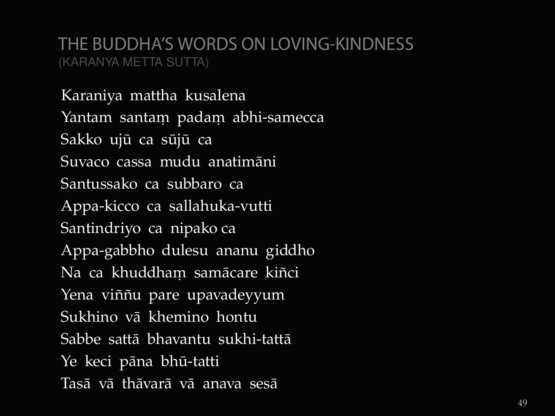#### THE BUDDHA'S WORDS ON LOVING-KINDNESS (KARANYA METTA SUTTA)

Karaniya mattha kusalena Yantam santam padam abhi-samecca Sakko ujå ca såjå ca Suvaco cassa mudu anatimàni Santussako ca subbaro ca Appa-kicco ca sallahuka-vutti Santindriyo ca nipako ca Appa-gabbho dulesu ananu giddho Na ca khuddham samācare kiñci Yena viññu pare upavadeyyum Sukhino và khemino hontu Sabbe sattà bhavantu sukhi-tattà Ye keci pàna bhå-tatti Tasà và thàvarà và anava sesà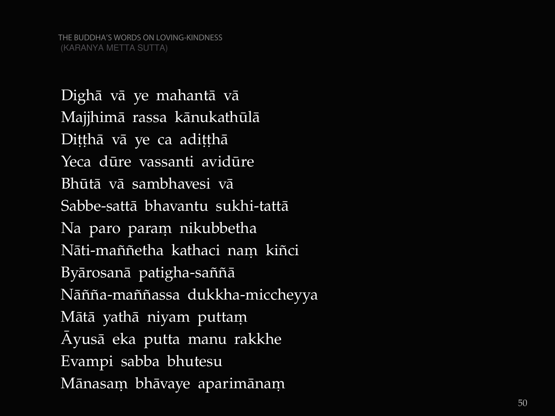Dighà và ye mahantà và Majjhimà rassa kànukathålà Dițțhā vā ye ca adițțhā Yeca dåre vassanti avidåre Bhåtà và sambhavesi và Sabbe -sattà bhavantu sukhi -tattà Na paro param nikubbetha Nāti-maññetha kathaci naṃ kiñci Byārosanā patigha-saññā Nāñña-maññassa dukkha-miccheyya Mātā yathā niyam puttaṃ âyusà eka putta manu rakkhe Evampi sabba bhutesu Mānasam bhāvaye aparimānam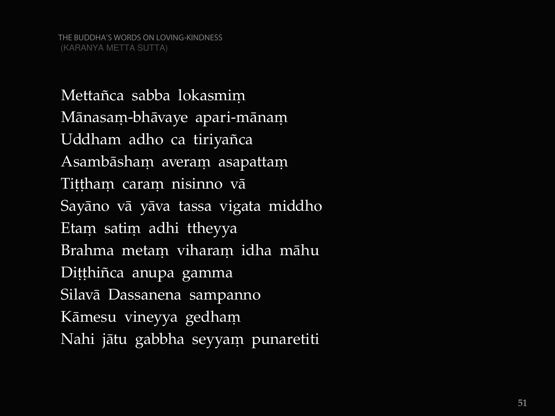Mettañca sabba lokasmim Mānasaṃ-bhāvaye apari-mānaṃ Uddham adho ca tiriyañca Asambāshaṃ averaṃ asapattaṃ Tiṭṭhaṃ caraṃ nisinno vā Sayàno và yàva tassa vigata middho Etam satim adhi ttheyya Brahma metam viharam idha māhu Dițțhiñca anupa gamma Silavà Dassanena sampanno Kāmesu vineyya gedham Nahi jātu gabbha seyyam punaretiti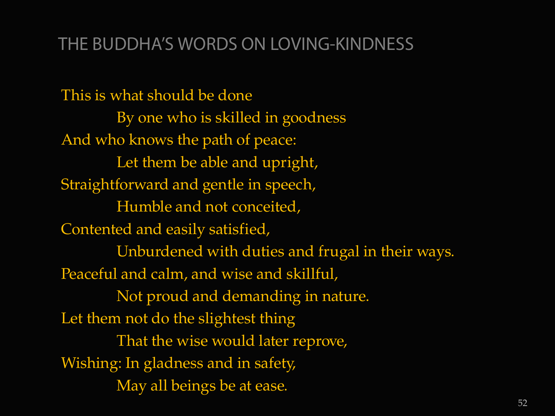# THE BUDDHA'S WORDS ON LOVING-KINDNESS

This is what should be done By one who is skilled in goodness And who knows the path of peace: Let them be able and upright, Straightforward and gentle in speech, Humble and not conceited, Contented and easily satisfied, Unburdened with duties and frugal in their ways. Peaceful and calm, and wise and skillful, Not proud and demanding in nature. Let them not do the slightest thing That the wise would later reprove, Wishing: In gladness and in safety, May all beings be at ease.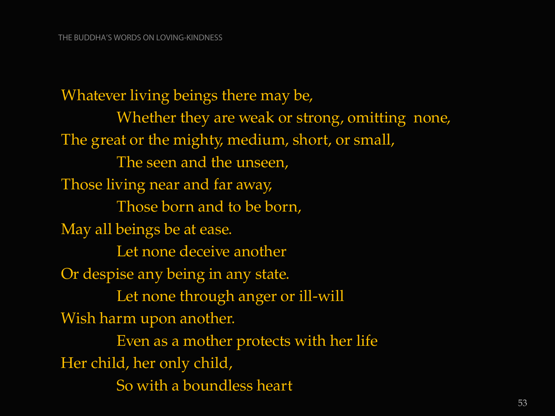Whatever living beings there may be, Whether they are weak or strong, omitting none, The great or the mighty, medium, short, or small, The seen and the unseen, Those living near and far away, Those born and to be born, May all beings be at ease. Let none deceive another Or despise any being in any state. Let none through anger or ill-will Wish harm upon another. Even as a mother protects with her life Her child, her only child, So with a boundless heart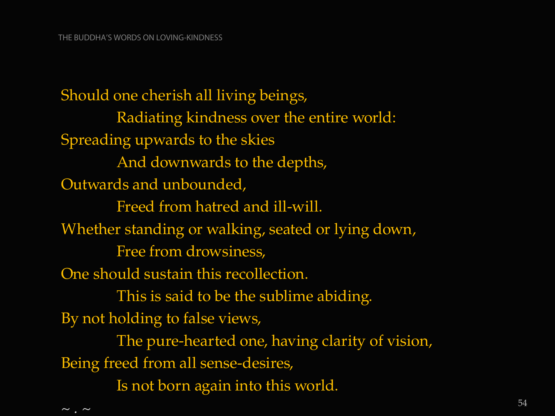$\sim$  .  $\sim$ 

Should one cherish all living beings, Radiating kindness over the entire world: Spreading upwards to the skies And downwards to the depths, Outwards and unbounded, Freed from hatred and ill-will. Whether standing or walking, seated or lying down, Free from drowsiness, One should sustain this recollection. This is said to be the sublime abiding. By not holding to false views, The pure-hearted one, having clarity of vision, Being freed from all sense-desires, Is not born again into this world.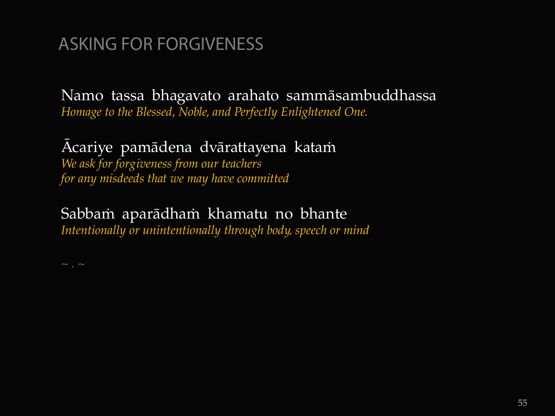# ASKING FOR FORGIVENESS

Namo tassa bhagavato arahato sammàsambuddhassa *Homage to the Blessed, Noble, and Perfectly Enlightened One.*

#### Acariye pamādena dvārattayena katam *We ask for forgiveness from our teachers for any misdeeds that we may have committed*

## Sabbam aparādham khamatu no bhante

*Intentionally or unintentionally through body, speech or mind*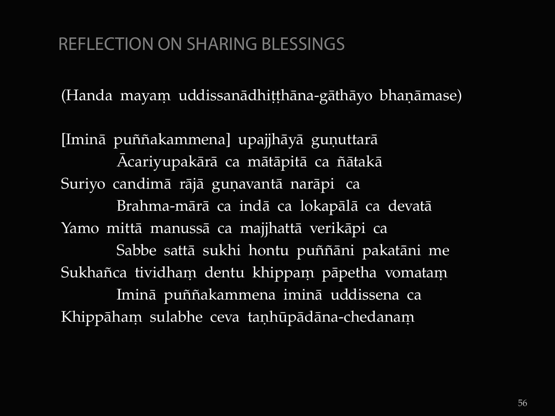# REFLECTION ON SHARING BLESSINGS

(Handa mayam uddissanādhiṭṭhāna-gāthāyo bhaṇāmase)

[Iminā puññakammena] upajjhāyā guņuttarā Acariyupakārā ca mātāpitā ca ñātakā Suriyo candimā rājā guņavantā narāpi ca Brahma-màrà ca indà ca lokapàlà ca devatà Yamo mittà manussà ca majjhattà verikàpi ca Sabbe sattā sukhi hontu puññāni pakatāni me Sukhañca tividham dentu khippam pāpetha vomatam Iminā puññakammena iminā uddissena ca Khippāham sulabhe ceva taṇhūpādāna-chedanam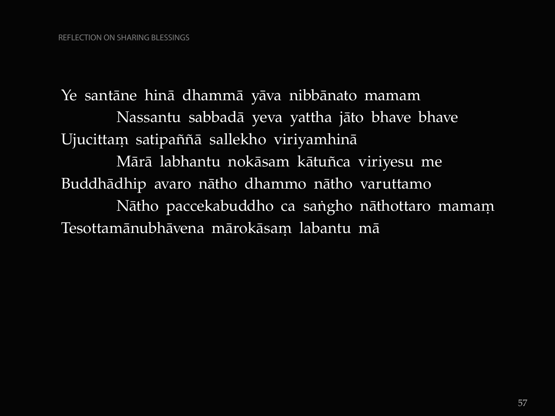Ye santàne hinà dhammà yàva nibbànato mamam Nassantu sabbadà yeva yattha jàto bhave bhave Ujucittam satipaññā sallekho viriyamhinā Mārā labhantu nokāsam kātuñca viriyesu me Buddhàdhip avaro nàtho dhammo nàtho varuttamo Nātho paccekabuddho ca saṅgho nāthottaro mamam Tesottamānubhāvena mārokāsam labantu mā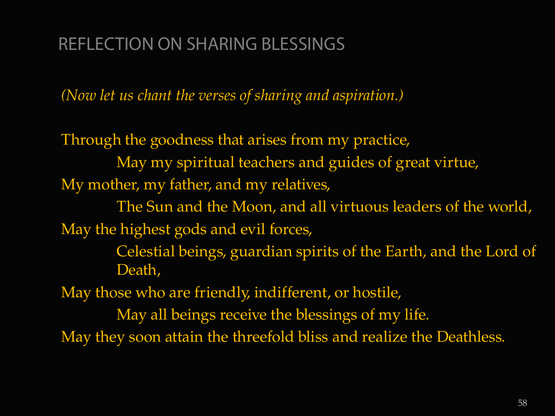# REFLECTION ON SHARING BLESSINGS

*(Now let us chant the verses of sharing and aspiration.)*

Through the goodness that arises from my practice, May my spiritual teachers and guides of great virtue, My mother, my father, and my relatives,

The Sun and the Moon, and all virtuous leaders of the world, May the highest gods and evil forces,

> Celestial beings, guardian spirits of the Earth, and the Lord of Death,

May those who are friendly, indifferent, or hostile,

May all beings receive the blessings of my life. May they soon attain the threefold bliss and realize the Deathless.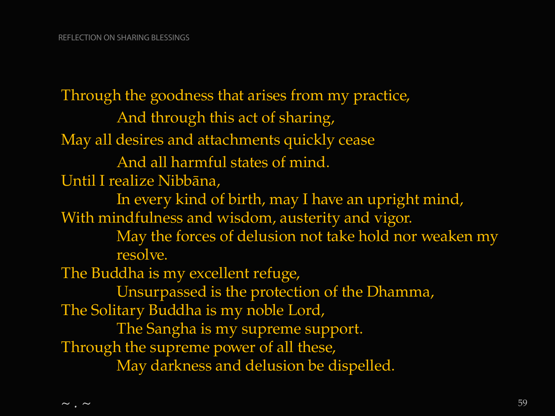Through the goodness that arises from my practice, And through this act of sharing, May all desires and attachments quickly cease And all harmful states of mind. Until I realize Nibbàna, In every kind of birth, may I have an upright mind, With mindfulness and wisdom, austerity and vigor. May the forces of delusion not take hold nor weaken my resolve. The Buddha is my excellent refuge, Unsurpassed is the protection of the Dhamma, The Solitary Buddha is my noble Lord, The Sangha is my supreme support. Through the supreme power of all these, May darkness and delusion be dispelled.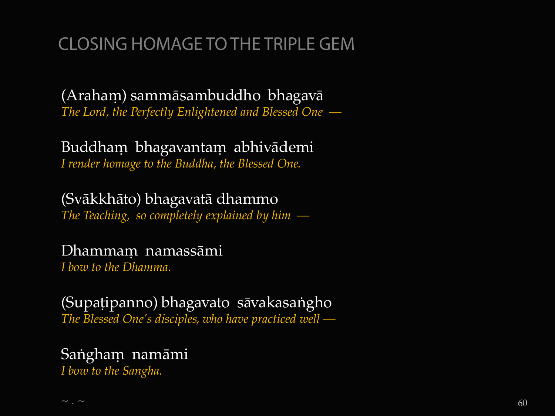# CLOSING HOMAGE TO THE TRIPLE GEM

(Araham) sammāsambuddho bhagavā *The Lord, the Perfectly Enlightened and Blessed One —*

Buddham bhagavantam abhivādemi *I render homage to the Buddha, the Blessed One.*

(Svàkkhàto) bhagavatà dhammo *The Teaching, so completely explained by him —*

Dhammam namassāmi

*I bow to the Dhamma.*

(Supațipanno) bhagavato sāvakasangho *The Blessed One's disciples, who have practiced well —*

# Sangham namāmi

*I bow to the Sangha.*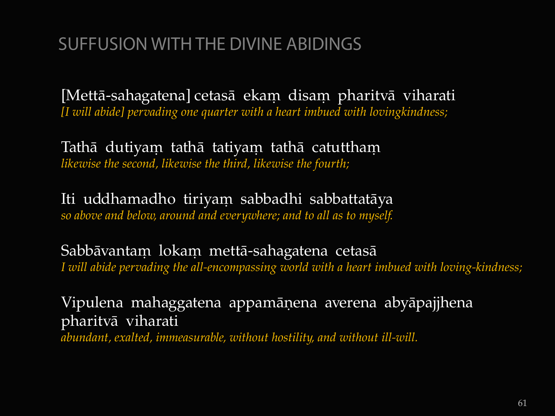# SUFFUSION WITH THE DIVINE ABIDINGS

[Mettā-sahagatena] cetasā ekam disam pharitvā viharati *[I will abide] pervading one quarter with a heart imbued with lovingkindness;*

Tathā dutiyam tathā tatiyam tathā catuttham *likewise the second, likewise the third, likewise the fourth;*

Iti uddhamadho tiriyam sabbadhi sabbattatāya *so above and below, around and everywhere; and to all as to myself.*

Sabbāvantam lokam mettā-sahagatena cetasā *I will abide pervading the all-encompassing world with a heart imbued with loving-kindness;*

Vipulena mahaggatena appamāņena averena abyāpajjhena pharitvà viharati *abundant, exalted, immeasurable, without hostility, and without ill-will.*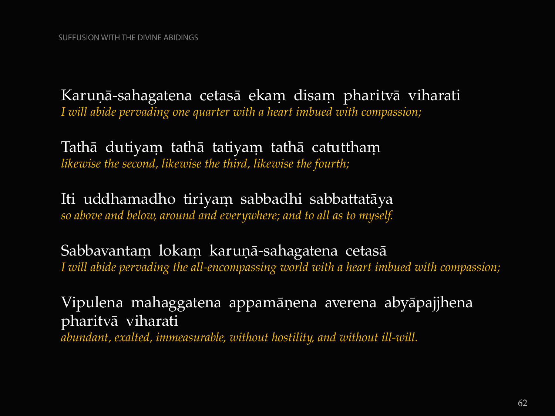Karuņā-sahagatena cetasā ekam disam pharitvā viharati *I will abide pervading one quarter with a heart imbued with compassion;*

Tathā dutiyam tathā tatiyam tathā catuttham *likewise the second, likewise the third, likewise the fourth;*

Iti uddhamadho tiriyam sabbadhi sabbattatāya *so above and below, around and everywhere; and to all as to myself.*

Sabbavantam lokam karuņā-sahagatena cetasā *I will abide pervading the all-encompassing world with a heart imbued with compassion;*

Vipulena mahaggatena appamāņena averena abyāpajjhena pharitvà viharati *abundant, exalted, immeasurable, without hostility, and without ill-will.*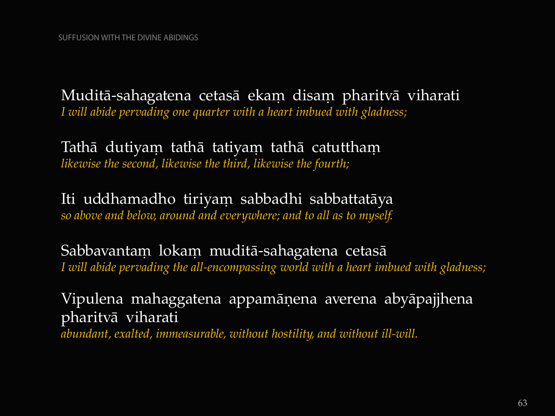Muditā-sahagatena cetasā ekam disam pharitvā viharati *I will abide pervading one quarter with a heart imbued with gladness;*

Tathā dutiyam tathā tatiyam tathā catuttham *likewise the second, likewise the third, likewise the fourth;*

Iti uddhamadho tiriyam sabbadhi sabbattatāya *so above and below, around and everywhere; and to all as to myself.*

Sabbavantam lokam muditā-sahagatena cetasā *I will abide pervading the all-encompassing world with a heart imbued with gladness;*

Vipulena mahaggatena appamàõena averena abyàpajjhena pharitvà viharati *abundant, exalted, immeasurable, without hostility, and without ill-will.*